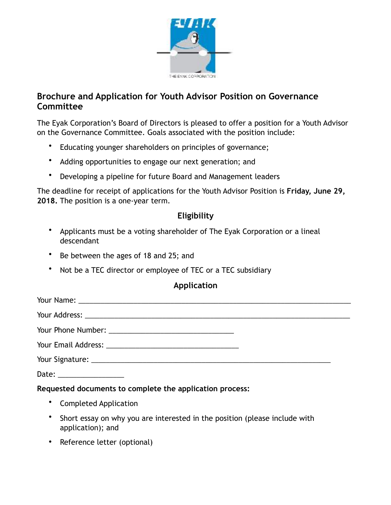

## **Brochure and Application for Youth Advisor Position on Governance Committee**

The Eyak Corporation's Board of Directors is pleased to offer a position for a Youth Advisor on the Governance Committee. Goals associated with the position include:

- Educating younger shareholders on principles of governance;
- Adding opportunities to engage our next generation; and
- Developing a pipeline for future Board and Management leaders

The deadline for receipt of applications for the Youth Advisor Position is **Friday, June 29, 2018.** The position is a one-year term.

## **Eligibility**

- Applicants must be a voting shareholder of The Eyak Corporation or a lineal descendant
- Be between the ages of 18 and 25; and
- Not be a TEC director or employee of TEC or a TEC subsidiary

## **Application**

| Date: ____________________ |  |
|----------------------------|--|

## **Requested documents to complete the application process:**

- Completed Application
- Short essay on why you are interested in the position (please include with application); and
- Reference letter (optional)